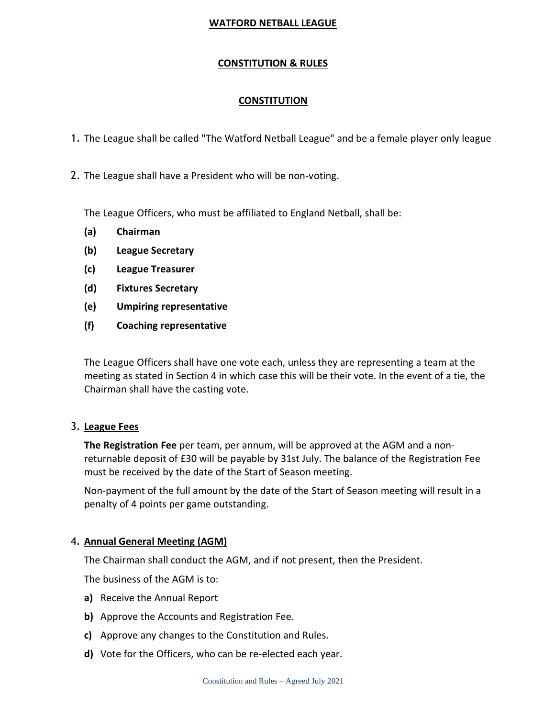## **CONSTITUTION & RULES**

## **CONSTITUTION**

- 1. The League shall be called "The Watford Netball League" and be a female player only league
- 2. The League shall have a President who will be non-voting.

The League Officers, who must be affiliated to England Netball, shall be:

- **(a) Chairman**
- **(b) League Secretary**
- **(c) League Treasurer**
- **(d) Fixtures Secretary**
- **(e) Umpiring representative**
- **(f) Coaching representative**

The League Officers shall have one vote each, unless they are representing a team at the meeting as stated in Section 4 in which case this will be their vote. In the event of a tie, the Chairman shall have the casting vote.

## 3. **League Fees**

**The Registration Fee** per team, per annum, will be approved at the AGM and a nonreturnable deposit of £30 will be payable by 31st July. The balance of the Registration Fee must be received by the date of the Start of Season meeting.

Non-payment of the full amount by the date of the Start of Season meeting will result in a penalty of 4 points per game outstanding.

## 4. **Annual General Meeting (AGM)**

The Chairman shall conduct the AGM, and if not present, then the President.

The business of the AGM is to:

- **a)** Receive the Annual Report
- **b)** Approve the Accounts and Registration Fee.
- **c)** Approve any changes to the Constitution and Rules.
- **d)** Vote for the Officers, who can be re-elected each year.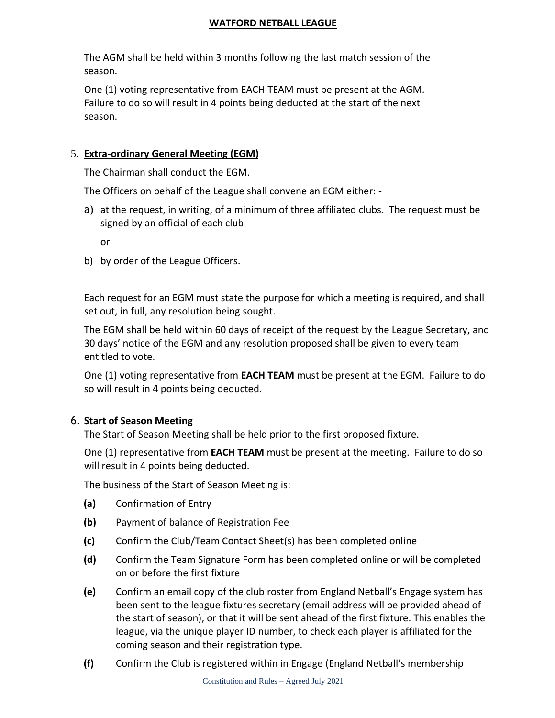The AGM shall be held within 3 months following the last match session of the season.

One (1) voting representative from EACH TEAM must be present at the AGM. Failure to do so will result in 4 points being deducted at the start of the next season.

## 5. **Extra-ordinary General Meeting (EGM)**

The Chairman shall conduct the EGM.

The Officers on behalf of the League shall convene an EGM either: -

a) at the request, in writing, of a minimum of three affiliated clubs. The request must be signed by an official of each club

or

b) by order of the League Officers.

Each request for an EGM must state the purpose for which a meeting is required, and shall set out, in full, any resolution being sought.

The EGM shall be held within 60 days of receipt of the request by the League Secretary, and 30 days' notice of the EGM and any resolution proposed shall be given to every team entitled to vote.

One (1) voting representative from **EACH TEAM** must be present at the EGM. Failure to do so will result in 4 points being deducted.

## 6. **Start of Season Meeting**

The Start of Season Meeting shall be held prior to the first proposed fixture.

One (1) representative from **EACH TEAM** must be present at the meeting. Failure to do so will result in 4 points being deducted.

The business of the Start of Season Meeting is:

- **(a)** Confirmation of Entry
- **(b)** Payment of balance of Registration Fee
- **(c)** Confirm the Club/Team Contact Sheet(s) has been completed online
- **(d)** Confirm the Team Signature Form has been completed online or will be completed on or before the first fixture
- **(e)** Confirm an email copy of the club roster from England Netball's Engage system has been sent to the league fixtures secretary (email address will be provided ahead of the start of season), or that it will be sent ahead of the first fixture. This enables the league, via the unique player ID number, to check each player is affiliated for the coming season and their registration type.
- **(f)** Confirm the Club is registered within in Engage (England Netball's membership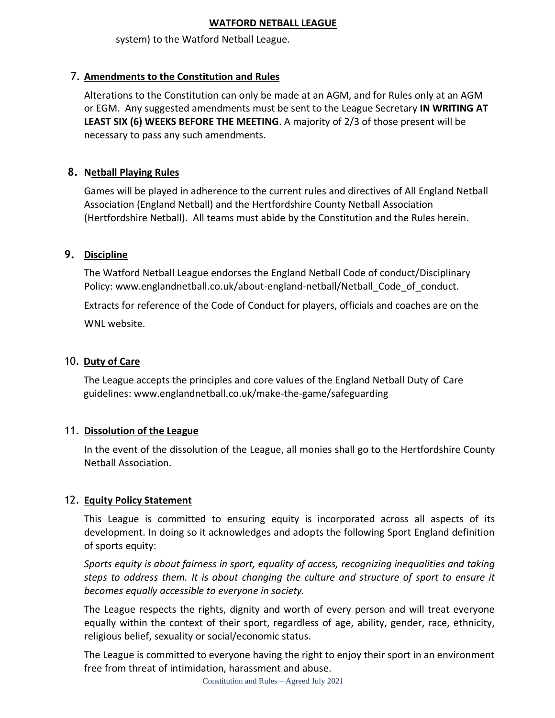system) to the Watford Netball League.

# 7. **Amendments to the Constitution and Rules**

Alterations to the Constitution can only be made at an AGM, and for Rules only at an AGM or EGM. Any suggested amendments must be sent to the League Secretary **IN WRITING AT LEAST SIX (6) WEEKS BEFORE THE MEETING**. A majority of 2/3 of those present will be necessary to pass any such amendments.

# **8. Netball Playing Rules**

Games will be played in adherence to the current rules and directives of All England Netball Association (England Netball) and the Hertfordshire County Netball Association (Hertfordshire Netball). All teams must abide by the Constitution and the Rules herein.

## **9. Discipline**

The Watford Netball League endorses the England Netball Code of conduct/Disciplinary Policy: www.englandnetball.co.uk/about-england-netball/Netball\_Code\_of\_conduct.

Extracts for reference of the Code of Conduct for players, officials and coaches are on the WNL website.

## 10. **Duty of Care**

The League accepts the principles and core values of the England Netball Duty of Care guidelines: www.englandnetball.co.uk/make-the-game/safeguarding

## 11. **Dissolution of the League**

In the event of the dissolution of the League, all monies shall go to the Hertfordshire County Netball Association.

## 12. **Equity Policy Statement**

This League is committed to ensuring equity is incorporated across all aspects of its development. In doing so it acknowledges and adopts the following Sport England definition of sports equity:

*Sports equity is about fairness in sport, equality of access, recognizing inequalities and taking steps to address them. It is about changing the culture and structure of sport to ensure it becomes equally accessible to everyone in society.*

The League respects the rights, dignity and worth of every person and will treat everyone equally within the context of their sport, regardless of age, ability, gender, race, ethnicity, religious belief, sexuality or social/economic status.

The League is committed to everyone having the right to enjoy their sport in an environment free from threat of intimidation, harassment and abuse.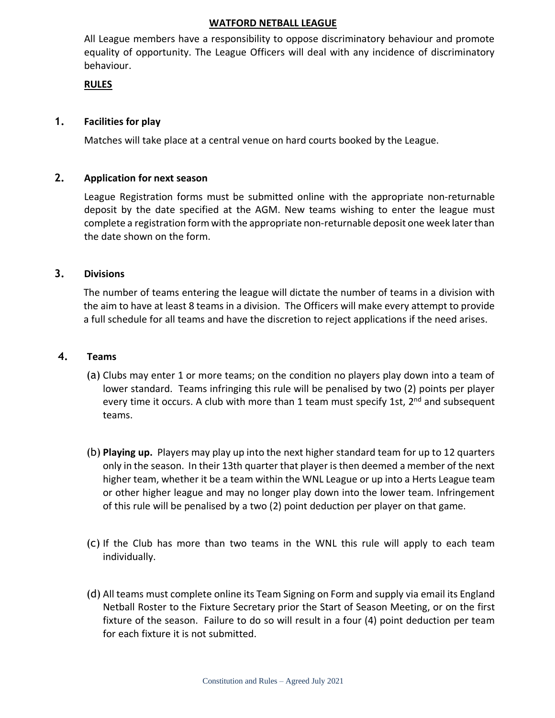All League members have a responsibility to oppose discriminatory behaviour and promote equality of opportunity. The League Officers will deal with any incidence of discriminatory behaviour.

#### **RULES**

## **1. Facilities for play**

Matches will take place at a central venue on hard courts booked by the League.

## **2. Application for next season**

League Registration forms must be submitted online with the appropriate non-returnable deposit by the date specified at the AGM. New teams wishing to enter the league must complete a registration form with the appropriate non-returnable deposit one week laterthan the date shown on the form.

## **3. Divisions**

The number of teams entering the league will dictate the number of teams in a division with the aim to have at least 8 teams in a division. The Officers will make every attempt to provide a full schedule for all teams and have the discretion to reject applications if the need arises.

## **4. Teams**

- (a) Clubs may enter 1 or more teams; on the condition no players play down into a team of lower standard. Teams infringing this rule will be penalised by two (2) points per player every time it occurs. A club with more than 1 team must specify 1st, 2<sup>nd</sup> and subsequent teams.
- (b) **Playing up.** Players may play up into the next higher standard team for up to 12 quarters only in the season. In their 13th quarter that player isthen deemed a member of the next higher team, whether it be a team within the WNL League or up into a Herts League team or other higher league and may no longer play down into the lower team. Infringement of this rule will be penalised by a two (2) point deduction per player on that game.
- (c) If the Club has more than two teams in the WNL this rule will apply to each team individually.
- (d) All teams must complete online its Team Signing on Form and supply via email its England Netball Roster to the Fixture Secretary prior the Start of Season Meeting, or on the first fixture of the season. Failure to do so will result in a four (4) point deduction per team for each fixture it is not submitted.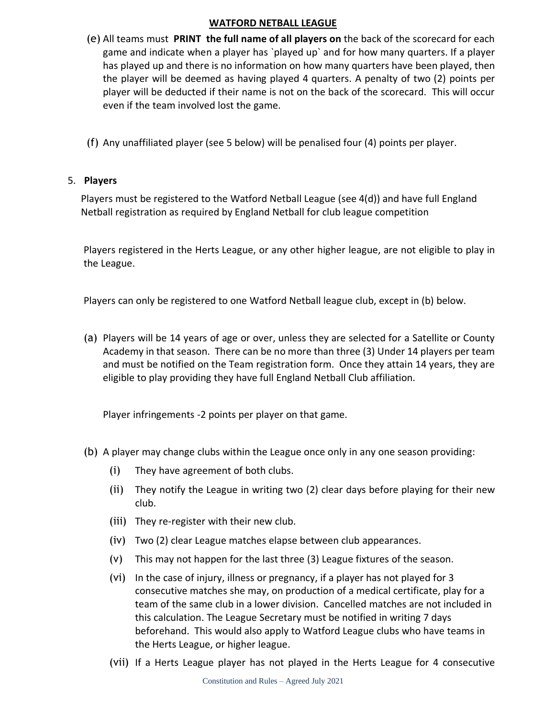- (e) All teams must **PRINT the full name of all players on** the back of the scorecard for each game and indicate when a player has `played up` and for how many quarters. If a player has played up and there is no information on how many quarters have been played, then the player will be deemed as having played 4 quarters. A penalty of two (2) points per player will be deducted if their name is not on the back of the scorecard. This will occur even if the team involved lost the game.
- (f) Any unaffiliated player (see 5 below) will be penalised four (4) points per player.

## 5. **Players**

Players must be registered to the Watford Netball League (see 4(d)) and have full England Netball registration as required by England Netball for club league competition

Players registered in the Herts League, or any other higher league, are not eligible to play in the League.

Players can only be registered to one Watford Netball league club, except in (b) below.

(a) Players will be 14 years of age or over, unless they are selected for a Satellite or County Academy in that season. There can be no more than three (3) Under 14 players per team and must be notified on the Team registration form. Once they attain 14 years, they are eligible to play providing they have full England Netball Club affiliation.

Player infringements -2 points per player on that game.

- (b) A player may change clubs within the League once only in any one season providing:
	- (i) They have agreement of both clubs.
	- (ii) They notify the League in writing two (2) clear days before playing for their new club.
	- (iii) They re-register with their new club.
	- (iv) Two (2) clear League matches elapse between club appearances.
	- (v) This may not happen for the last three (3) League fixtures of the season.
	- (vi) In the case of injury, illness or pregnancy, if a player has not played for 3 consecutive matches she may, on production of a medical certificate, play for a team of the same club in a lower division. Cancelled matches are not included in this calculation. The League Secretary must be notified in writing 7 days beforehand. This would also apply to Watford League clubs who have teams in the Herts League, or higher league.
	- (vii) If a Herts League player has not played in the Herts League for 4 consecutive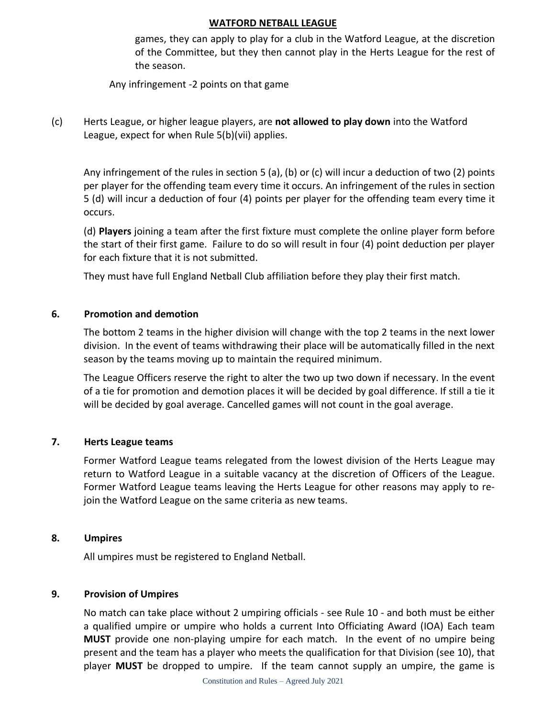games, they can apply to play for a club in the Watford League, at the discretion of the Committee, but they then cannot play in the Herts League for the rest of the season.

Any infringement -2 points on that game

(c) Herts League, or higher league players, are **not allowed to play down** into the Watford League, expect for when Rule 5(b)(vii) applies.

Any infringement of the rules in section 5 (a), (b) or (c) will incur a deduction of two (2) points per player for the offending team every time it occurs. An infringement of the rules in section 5 (d) will incur a deduction of four (4) points per player for the offending team every time it occurs.

(d) **Players** joining a team after the first fixture must complete the online player form before the start of their first game. Failure to do so will result in four (4) point deduction per player for each fixture that it is not submitted.

They must have full England Netball Club affiliation before they play their first match.

#### **6. Promotion and demotion**

The bottom 2 teams in the higher division will change with the top 2 teams in the next lower division. In the event of teams withdrawing their place will be automatically filled in the next season by the teams moving up to maintain the required minimum.

The League Officers reserve the right to alter the two up two down if necessary. In the event of a tie for promotion and demotion places it will be decided by goal difference. If still a tie it will be decided by goal average. Cancelled games will not count in the goal average.

#### **7. Herts League teams**

Former Watford League teams relegated from the lowest division of the Herts League may return to Watford League in a suitable vacancy at the discretion of Officers of the League. Former Watford League teams leaving the Herts League for other reasons may apply to rejoin the Watford League on the same criteria as new teams.

#### **8. Umpires**

All umpires must be registered to England Netball.

#### **9. Provision of Umpires**

No match can take place without 2 umpiring officials - see Rule 10 - and both must be either a qualified umpire or umpire who holds a current Into Officiating Award (IOA) Each team **MUST** provide one non-playing umpire for each match. In the event of no umpire being present and the team has a player who meets the qualification for that Division (see 10), that player **MUST** be dropped to umpire. If the team cannot supply an umpire, the game is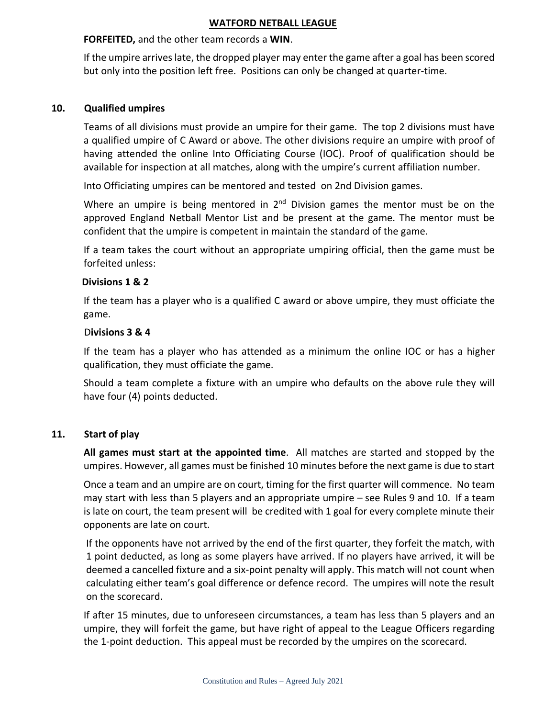## **FORFEITED,** and the other team records a **WIN**.

If the umpire arrives late, the dropped player may enter the game after a goal has been scored but only into the position left free. Positions can only be changed at quarter-time.

## **10. Qualified umpires**

Teams of all divisions must provide an umpire for their game. The top 2 divisions must have a qualified umpire of C Award or above. The other divisions require an umpire with proof of having attended the online Into Officiating Course (IOC). Proof of qualification should be available for inspection at all matches, along with the umpire's current affiliation number.

Into Officiating umpires can be mentored and tested on 2nd Division games.

Where an umpire is being mentored in 2<sup>nd</sup> Division games the mentor must be on the approved England Netball Mentor List and be present at the game. The mentor must be confident that the umpire is competent in maintain the standard of the game.

If a team takes the court without an appropriate umpiring official, then the game must be forfeited unless:

## **Divisions 1 & 2**

If the team has a player who is a qualified C award or above umpire, they must officiate the game.

## D**ivisions 3 & 4**

If the team has a player who has attended as a minimum the online IOC or has a higher qualification, they must officiate the game.

Should a team complete a fixture with an umpire who defaults on the above rule they will have four (4) points deducted.

## **11. Start of play**

**All games must start at the appointed time**. All matches are started and stopped by the umpires. However, all games must be finished 10 minutes before the next game is due to start

Once a team and an umpire are on court, timing for the first quarter will commence. No team may start with less than 5 players and an appropriate umpire – see Rules 9 and 10. If a team is late on court, the team present will be credited with 1 goal for every complete minute their opponents are late on court.

If the opponents have not arrived by the end of the first quarter, they forfeit the match, with 1 point deducted, as long as some players have arrived. If no players have arrived, it will be deemed a cancelled fixture and a six-point penalty will apply. This match will not count when calculating either team's goal difference or defence record. The umpires will note the result on the scorecard.

If after 15 minutes, due to unforeseen circumstances, a team has less than 5 players and an umpire, they will forfeit the game, but have right of appeal to the League Officers regarding the 1-point deduction. This appeal must be recorded by the umpires on the scorecard.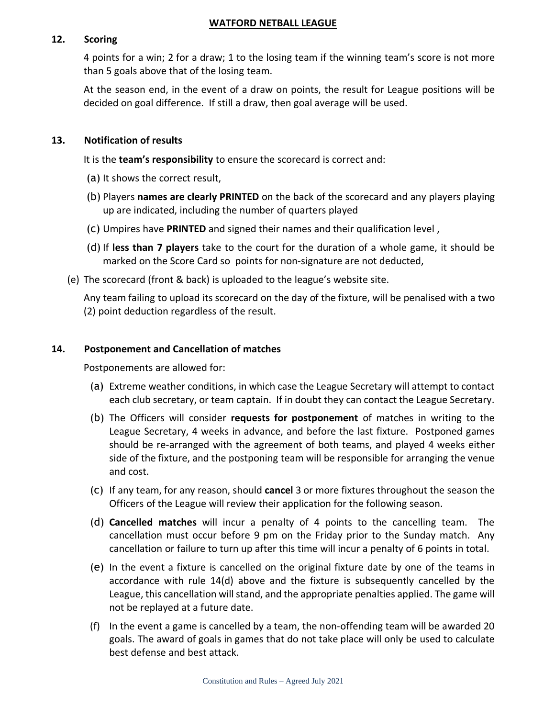## **12. Scoring**

4 points for a win; 2 for a draw; 1 to the losing team if the winning team's score is not more than 5 goals above that of the losing team.

At the season end, in the event of a draw on points, the result for League positions will be decided on goal difference. If still a draw, then goal average will be used.

#### **13. Notification of results**

It is the **team's responsibility** to ensure the scorecard is correct and:

- (a) It shows the correct result,
- (b) Players **names are clearly PRINTED** on the back of the scorecard and any players playing up are indicated, including the number of quarters played
- (c) Umpires have **PRINTED** and signed their names and their qualification level ,
- (d) If **less than 7 players** take to the court for the duration of a whole game, it should be marked on the Score Card so points for non-signature are not deducted,
- (e) The scorecard (front & back) is uploaded to the league's website site.

Any team failing to upload its scorecard on the day of the fixture, will be penalised with a two (2) point deduction regardless of the result.

#### **14. Postponement and Cancellation of matches**

Postponements are allowed for:

- (a) Extreme weather conditions, in which case the League Secretary will attempt to contact each club secretary, or team captain. If in doubt they can contact the League Secretary.
- (b) The Officers will consider **requests for postponement** of matches in writing to the League Secretary, 4 weeks in advance, and before the last fixture. Postponed games should be re-arranged with the agreement of both teams, and played 4 weeks either side of the fixture, and the postponing team will be responsible for arranging the venue and cost.
- (c) If any team, for any reason, should **cancel** 3 or more fixtures throughout the season the Officers of the League will review their application for the following season.
- (d) **Cancelled matches** will incur a penalty of 4 points to the cancelling team. The cancellation must occur before 9 pm on the Friday prior to the Sunday match. Any cancellation or failure to turn up after this time will incur a penalty of 6 points in total.
- (e) In the event a fixture is cancelled on the original fixture date by one of the teams in accordance with rule 14(d) above and the fixture is subsequently cancelled by the League, this cancellation will stand, and the appropriate penalties applied. The game will not be replayed at a future date.
- (f) In the event a game is cancelled by a team, the non-offending team will be awarded 20 goals. The award of goals in games that do not take place will only be used to calculate best defense and best attack.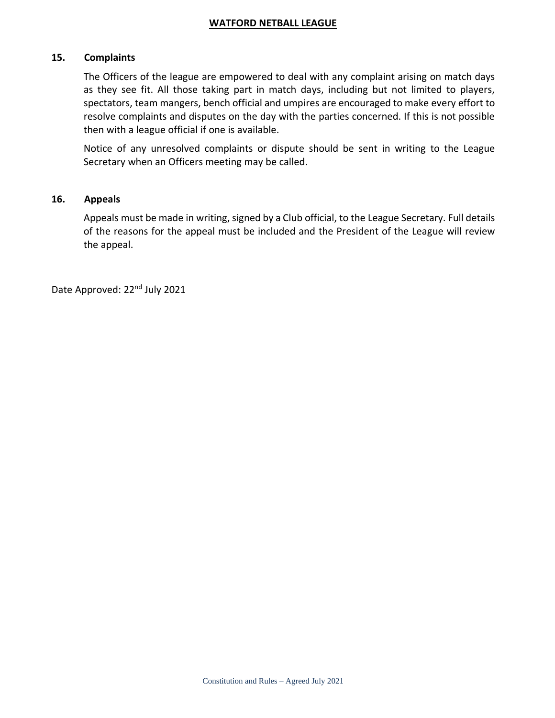#### **15. Complaints**

 The Officers of the league are empowered to deal with any complaint arising on match days as they see fit. All those taking part in match days, including but not limited to players, spectators, team mangers, bench official and umpires are encouraged to make every effort to resolve complaints and disputes on the day with the parties concerned. If this is not possible then with a league official if one is available.

Notice of any unresolved complaints or dispute should be sent in writing to the League Secretary when an Officers meeting may be called.

#### **16. Appeals**

Appeals must be made in writing, signed by a Club official, to the League Secretary. Full details of the reasons for the appeal must be included and the President of the League will review the appeal.

Date Approved: 22<sup>nd</sup> July 2021